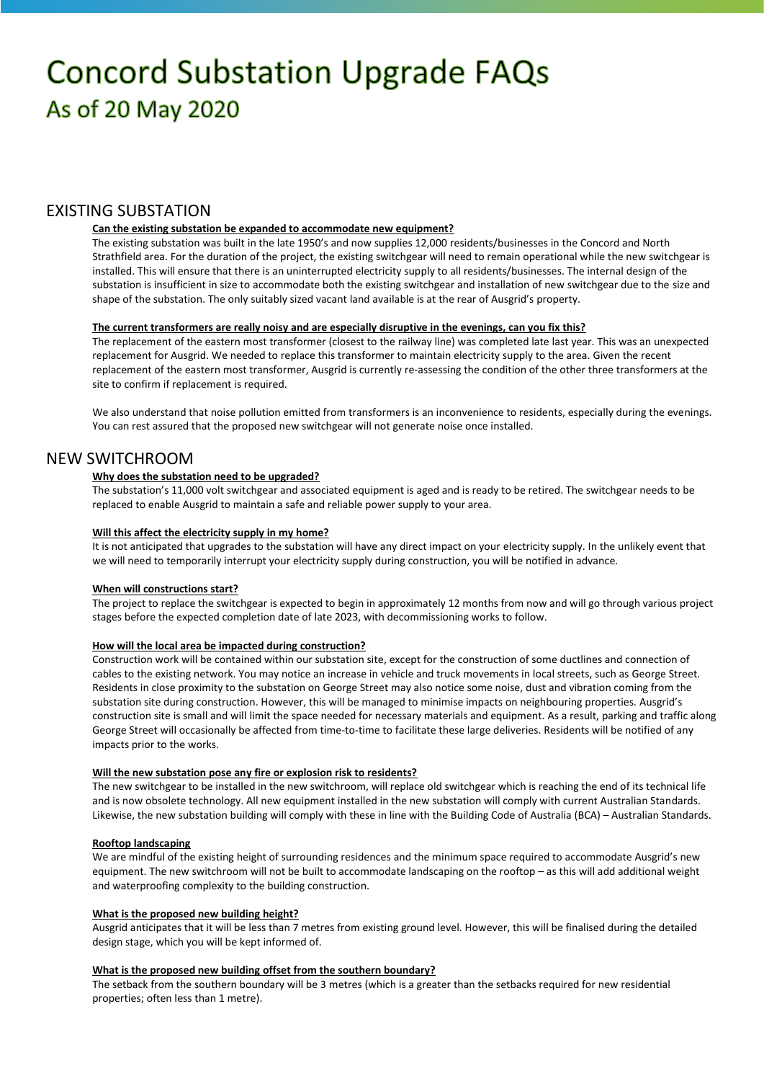# **Concord Substation Upgrade FAQs** As of 20 May 2020

# EXISTING SUBSTATION

#### **Can the existing substation be expanded to accommodate new equipment?**

The existing substation was built in the late 1950's and now supplies 12,000 residents/businesses in the Concord and North Strathfield area. For the duration of the project, the existing switchgear will need to remain operational while the new switchgear is installed. This will ensure that there is an uninterrupted electricity supply to all residents/businesses. The internal design of the substation is insufficient in size to accommodate both the existing switchgear and installation of new switchgear due to the size and shape of the substation. The only suitably sized vacant land available is at the rear of Ausgrid's property.

#### **The current transformers are really noisy and are especially disruptive in the evenings, can you fix this?**

The replacement of the eastern most transformer (closest to the railway line) was completed late last year. This was an unexpected replacement for Ausgrid. We needed to replace this transformer to maintain electricity supply to the area. Given the recent replacement of the eastern most transformer, Ausgrid is currently re-assessing the condition of the other three transformers at the site to confirm if replacement is required.

We also understand that noise pollution emitted from transformers is an inconvenience to residents, especially during the evenings. You can rest assured that the proposed new switchgear will not generate noise once installed.

## NEW SWITCHROOM

#### **Why does the substation need to be upgraded?**

The substation's 11,000 volt switchgear and associated equipment is aged and is ready to be retired. The switchgear needs to be replaced to enable Ausgrid to maintain a safe and reliable power supply to your area.

#### **Will this affect the electricity supply in my home?**

It is not anticipated that upgrades to the substation will have any direct impact on your electricity supply. In the unlikely event that we will need to temporarily interrupt your electricity supply during construction, you will be notified in advance.

#### **When will constructions start?**

The project to replace the switchgear is expected to begin in approximately 12 months from now and will go through various project stages before the expected completion date of late 2023, with decommissioning works to follow.

#### **How will the local area be impacted during construction?**

Construction work will be contained within our substation site, except for the construction of some ductlines and connection of cables to the existing network. You may notice an increase in vehicle and truck movements in local streets, such as George Street. Residents in close proximity to the substation on George Street may also notice some noise, dust and vibration coming from the substation site during construction. However, this will be managed to minimise impacts on neighbouring properties. Ausgrid's construction site is small and will limit the space needed for necessary materials and equipment. As a result, parking and traffic along George Street will occasionally be affected from time-to-time to facilitate these large deliveries. Residents will be notified of any impacts prior to the works.

#### **Will the new substation pose any fire or explosion risk to residents?**

The new switchgear to be installed in the new switchroom, will replace old switchgear which is reaching the end of its technical life and is now obsolete technology. All new equipment installed in the new substation will comply with current Australian Standards. Likewise, the new substation building will comply with these in line with the Building Code of Australia (BCA) – Australian Standards.

#### **Rooftop landscaping**

We are mindful of the existing height of surrounding residences and the minimum space required to accommodate Ausgrid's new equipment. The new switchroom will not be built to accommodate landscaping on the rooftop – as this will add additional weight and waterproofing complexity to the building construction.

#### **What is the proposed new building height?**

Ausgrid anticipates that it will be less than 7 metres from existing ground level. However, this will be finalised during the detailed design stage, which you will be kept informed of.

#### **What is the proposed new building offset from the southern boundary?**

The setback from the southern boundary will be 3 metres (which is a greater than the setbacks required for new residential properties; often less than 1 metre).